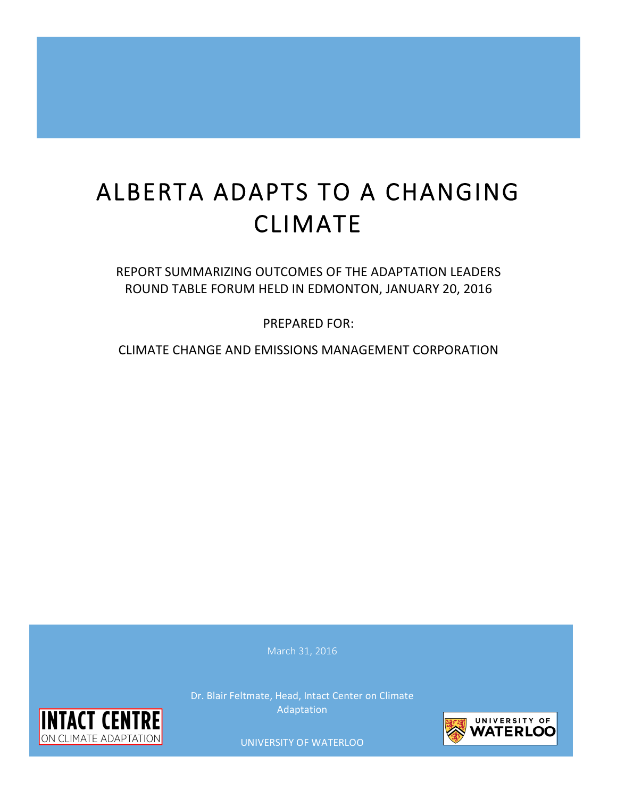# ALBERTA ADAPTS TO A CHANGING CLIMATE

REPORT INDEE FOROM HELD IN EDMONTON, JANUARY 20, 2010 REPORT SUMMARIZING OUTCOMES OF THE ADAPTATION LEADERS ROUND TABLE FORUM HELD IN EDMONTON, JANUARY 20, 2016

PREPARED FOR:

CLIMATE CHANGE AND EMISSIONS MANAGEMENT CORPORATION

 Adaptation Dr. Blair Feltmate, Head, Intact Center on Climate



**UNIVERSITY OF WATERLOO** 

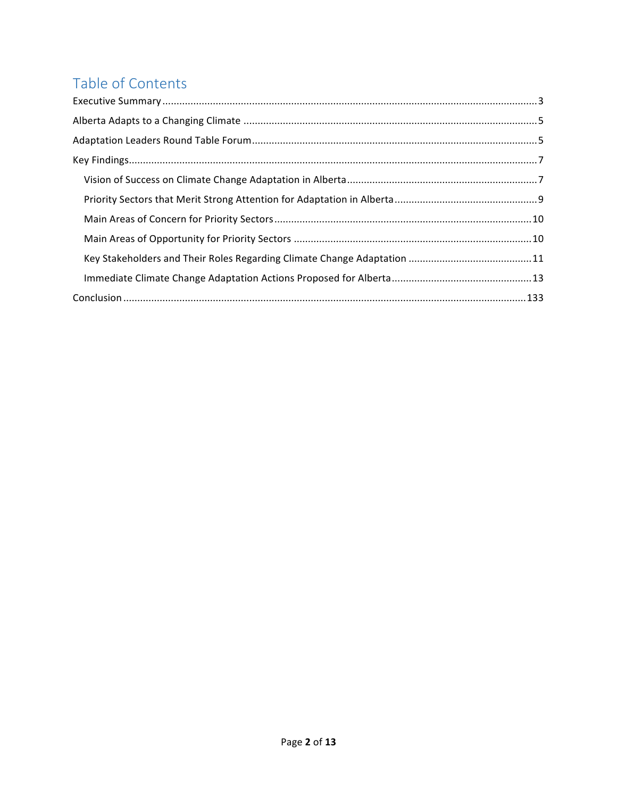# Table of Contents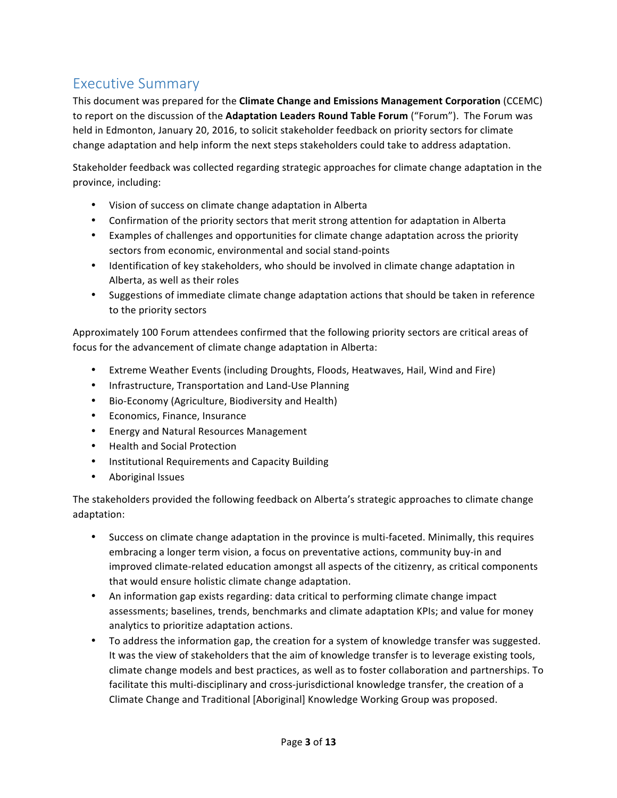# Executive Summary

This document was prepared for the **Climate Change and Emissions Management Corporation** (CCEMC) to report on the discussion of the Adaptation Leaders Round Table Forum ("Forum"). The Forum was held in Edmonton, January 20, 2016, to solicit stakeholder feedback on priority sectors for climate change adaptation and help inform the next steps stakeholders could take to address adaptation.

Stakeholder feedback was collected regarding strategic approaches for climate change adaptation in the province, including:

- Vision of success on climate change adaptation in Alberta
- Confirmation of the priority sectors that merit strong attention for adaptation in Alberta
- Examples of challenges and opportunities for climate change adaptation across the priority sectors from economic, environmental and social stand-points
- Identification of key stakeholders, who should be involved in climate change adaptation in Alberta, as well as their roles
- Suggestions of immediate climate change adaptation actions that should be taken in reference to the priority sectors

Approximately 100 Forum attendees confirmed that the following priority sectors are critical areas of focus for the advancement of climate change adaptation in Alberta:

- Extreme Weather Events (including Droughts, Floods, Heatwaves, Hail, Wind and Fire)
- Infrastructure, Transportation and Land-Use Planning
- Bio-Economy (Agriculture, Biodiversity and Health)
- Economics, Finance, Insurance
- Energy and Natural Resources Management
- Health and Social Protection
- Institutional Requirements and Capacity Building
- Aboriginal Issues

The stakeholders provided the following feedback on Alberta's strategic approaches to climate change adaptation:

- Success on climate change adaptation in the province is multi-faceted. Minimally, this requires embracing a longer term vision, a focus on preventative actions, community buy-in and improved climate-related education amongst all aspects of the citizenry, as critical components that would ensure holistic climate change adaptation.
- An information gap exists regarding: data critical to performing climate change impact assessments; baselines, trends, benchmarks and climate adaptation KPIs; and value for money analytics to prioritize adaptation actions.
- To address the information gap, the creation for a system of knowledge transfer was suggested. It was the view of stakeholders that the aim of knowledge transfer is to leverage existing tools, climate change models and best practices, as well as to foster collaboration and partnerships. To facilitate this multi-disciplinary and cross-jurisdictional knowledge transfer, the creation of a Climate Change and Traditional [Aboriginal] Knowledge Working Group was proposed.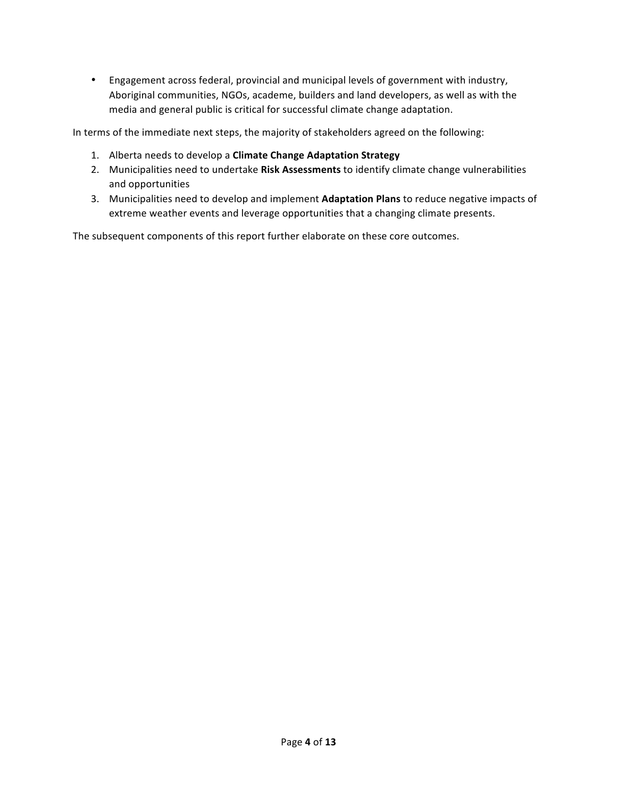• Engagement across federal, provincial and municipal levels of government with industry, Aboriginal communities, NGOs, academe, builders and land developers, as well as with the media and general public is critical for successful climate change adaptation.

In terms of the immediate next steps, the majority of stakeholders agreed on the following:

- 1. Alberta needs to develop a **Climate Change Adaptation Strategy**
- 2. Municipalities need to undertake Risk Assessments to identify climate change vulnerabilities and opportunities
- 3. Municipalities need to develop and implement Adaptation Plans to reduce negative impacts of extreme weather events and leverage opportunities that a changing climate presents.

The subsequent components of this report further elaborate on these core outcomes.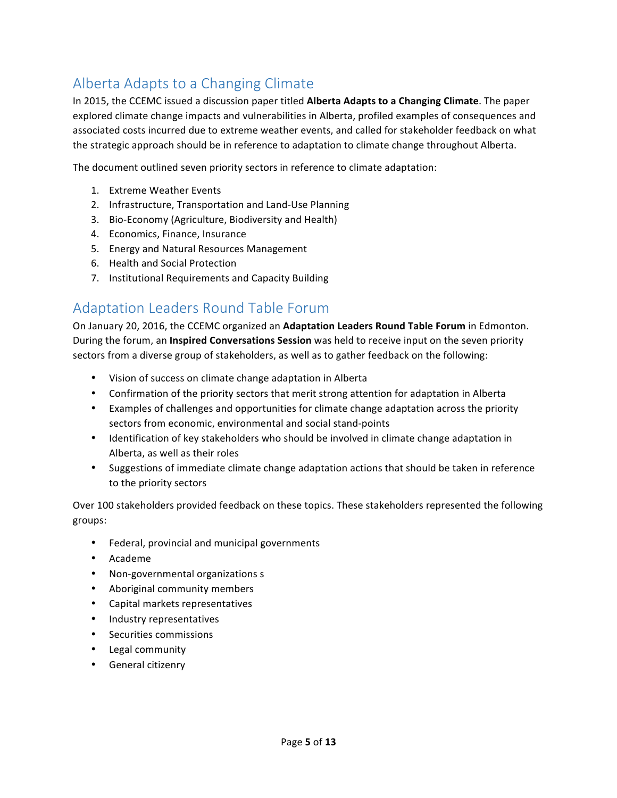# Alberta Adapts to a Changing Climate

In 2015, the CCEMC issued a discussion paper titled **Alberta Adapts to a Changing Climate**. The paper explored climate change impacts and vulnerabilities in Alberta, profiled examples of consequences and associated costs incurred due to extreme weather events, and called for stakeholder feedback on what the strategic approach should be in reference to adaptation to climate change throughout Alberta.

The document outlined seven priority sectors in reference to climate adaptation:

- 1. Extreme Weather Events
- 2. Infrastructure, Transportation and Land-Use Planning
- 3. Bio-Economy (Agriculture, Biodiversity and Health)
- 4. Economics, Finance, Insurance
- 5. Energy and Natural Resources Management
- 6. Health and Social Protection
- 7. Institutional Requirements and Capacity Building

# Adaptation Leaders Round Table Forum

On January 20, 2016, the CCEMC organized an **Adaptation Leaders Round Table Forum** in Edmonton. During the forum, an **Inspired Conversations Session** was held to receive input on the seven priority sectors from a diverse group of stakeholders, as well as to gather feedback on the following:

- Vision of success on climate change adaptation in Alberta
- Confirmation of the priority sectors that merit strong attention for adaptation in Alberta
- Examples of challenges and opportunities for climate change adaptation across the priority sectors from economic, environmental and social stand-points
- Identification of key stakeholders who should be involved in climate change adaptation in Alberta, as well as their roles
- Suggestions of immediate climate change adaptation actions that should be taken in reference to the priority sectors

Over 100 stakeholders provided feedback on these topics. These stakeholders represented the following groups:

- Federal, provincial and municipal governments
- Academe
- Non-governmental organizations s
- Aboriginal community members
- Capital markets representatives
- Industry representatives
- Securities commissions
- Legal community
- General citizenry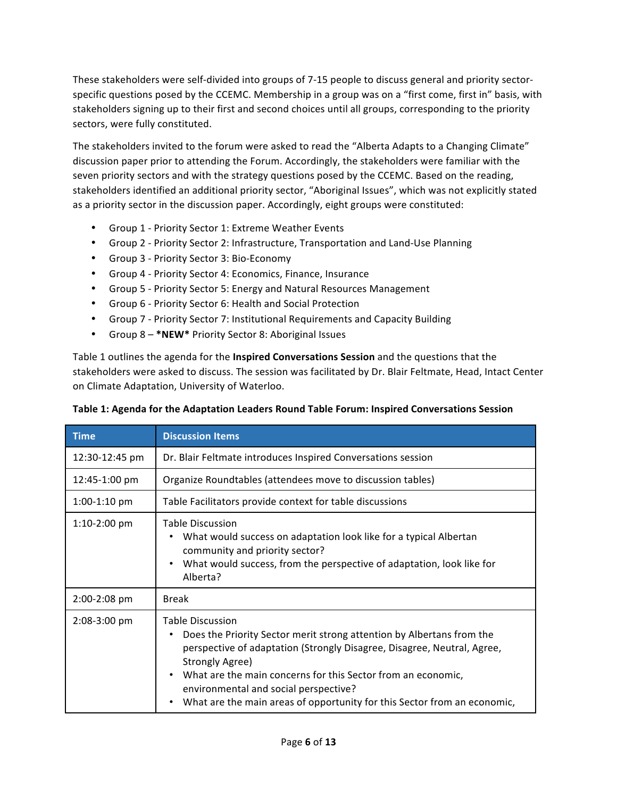These stakeholders were self-divided into groups of 7-15 people to discuss general and priority sectorspecific questions posed by the CCEMC. Membership in a group was on a "first come, first in" basis, with stakeholders signing up to their first and second choices until all groups, corresponding to the priority sectors, were fully constituted.

The stakeholders invited to the forum were asked to read the "Alberta Adapts to a Changing Climate" discussion paper prior to attending the Forum. Accordingly, the stakeholders were familiar with the seven priority sectors and with the strategy questions posed by the CCEMC. Based on the reading, stakeholders identified an additional priority sector, "Aboriginal Issues", which was not explicitly stated as a priority sector in the discussion paper. Accordingly, eight groups were constituted:

- Group 1 Priority Sector 1: Extreme Weather Events
- Group 2 Priority Sector 2: Infrastructure, Transportation and Land-Use Planning
- Group 3 Priority Sector 3: Bio-Economy
- Group 4 Priority Sector 4: Economics, Finance, Insurance
- Group 5 Priority Sector 5: Energy and Natural Resources Management
- Group 6 Priority Sector 6: Health and Social Protection
- Group 7 Priority Sector 7: Institutional Requirements and Capacity Building
- Group 8 \*NEW\* Priority Sector 8: Aboriginal Issues

Table 1 outlines the agenda for the **Inspired Conversations Session** and the questions that the stakeholders were asked to discuss. The session was facilitated by Dr. Blair Feltmate, Head, Intact Center on Climate Adaptation, University of Waterloo.

| <b>Time</b>    | <b>Discussion Items</b>                                                                                                                                                                                                                                                                                                                                                                                       |
|----------------|---------------------------------------------------------------------------------------------------------------------------------------------------------------------------------------------------------------------------------------------------------------------------------------------------------------------------------------------------------------------------------------------------------------|
| 12:30-12:45 pm | Dr. Blair Feltmate introduces Inspired Conversations session                                                                                                                                                                                                                                                                                                                                                  |
| 12:45-1:00 pm  | Organize Roundtables (attendees move to discussion tables)                                                                                                                                                                                                                                                                                                                                                    |
| $1:00-1:10$ pm | Table Facilitators provide context for table discussions                                                                                                                                                                                                                                                                                                                                                      |
| $1:10-2:00$ pm | Table Discussion<br>What would success on adaptation look like for a typical Albertan<br>community and priority sector?<br>What would success, from the perspective of adaptation, look like for<br>$\bullet$<br>Alberta?                                                                                                                                                                                     |
| 2:00-2:08 pm   | <b>Break</b>                                                                                                                                                                                                                                                                                                                                                                                                  |
| $2:08-3:00$ pm | <b>Table Discussion</b><br>Does the Priority Sector merit strong attention by Albertans from the<br>perspective of adaptation (Strongly Disagree, Disagree, Neutral, Agree,<br>Strongly Agree)<br>What are the main concerns for this Sector from an economic,<br>$\bullet$<br>environmental and social perspective?<br>What are the main areas of opportunity for this Sector from an economic,<br>$\bullet$ |

|  |  |  |  |  | Table 1: Agenda for the Adaptation Leaders Round Table Forum: Inspired Conversations Session |
|--|--|--|--|--|----------------------------------------------------------------------------------------------|
|--|--|--|--|--|----------------------------------------------------------------------------------------------|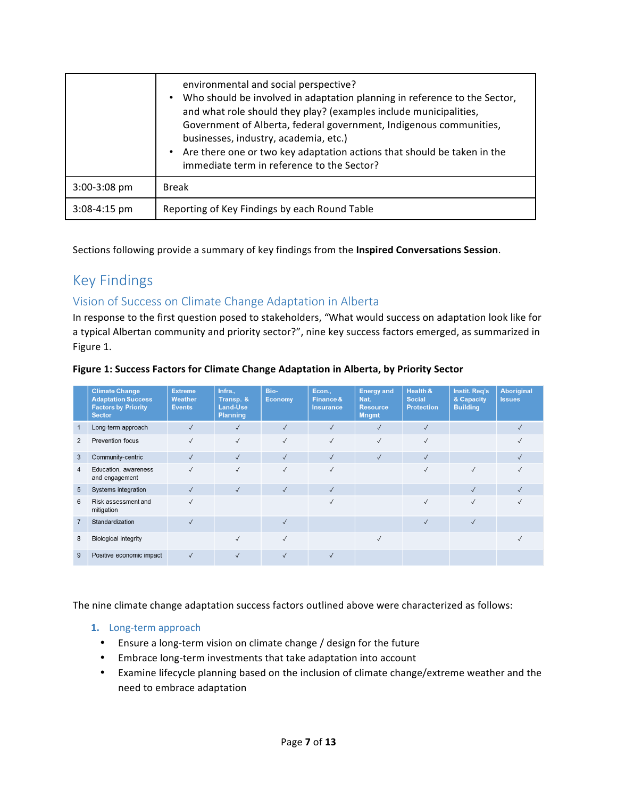|                | environmental and social perspective?<br>Who should be involved in adaptation planning in reference to the Sector,<br>$\bullet$<br>and what role should they play? (examples include municipalities,<br>Government of Alberta, federal government, Indigenous communities,<br>businesses, industry, academia, etc.)<br>Are there one or two key adaptation actions that should be taken in the<br>immediate term in reference to the Sector? |
|----------------|----------------------------------------------------------------------------------------------------------------------------------------------------------------------------------------------------------------------------------------------------------------------------------------------------------------------------------------------------------------------------------------------------------------------------------------------|
| $3:00-3:08$ pm | <b>Break</b>                                                                                                                                                                                                                                                                                                                                                                                                                                 |
| $3:08-4:15$ pm | Reporting of Key Findings by each Round Table                                                                                                                                                                                                                                                                                                                                                                                                |

Sections following provide a summary of key findings from the **Inspired Conversations Session**.

# Key Findings

# Vision of Success on Climate Change Adaptation in Alberta

In response to the first question posed to stakeholders, "What would success on adaptation look like for a typical Albertan community and priority sector?", nine key success factors emerged, as summarized in Figure 1.

|                | <b>Climate Change</b><br><b>Adaptation Success</b><br><b>Factors by Priority</b><br><b>Sector</b> | <b>Extreme</b><br><b>Weather</b><br><b>Events</b> | Infra.,<br>Transp. &<br>Land-Use<br><b>Planning</b> | Bio-<br>Economy | Econ.,<br>Finance &<br><b>Insurance</b> | <b>Energy and</b><br>Nat.<br><b>Resource</b><br><b>Mngmt</b> | <b>Health &amp;</b><br><b>Social</b><br><b>Protection</b> | Instit. Req's<br>& Capacity<br><b>Building</b> | <b>Aboriginal</b><br><b>Issues</b> |
|----------------|---------------------------------------------------------------------------------------------------|---------------------------------------------------|-----------------------------------------------------|-----------------|-----------------------------------------|--------------------------------------------------------------|-----------------------------------------------------------|------------------------------------------------|------------------------------------|
| $\mathbf{1}$   | Long-term approach                                                                                | $\sqrt{}$                                         | $\checkmark$                                        | $\checkmark$    | $\checkmark$                            | $\checkmark$                                                 | $\checkmark$                                              |                                                | $\sqrt{}$                          |
| $\overline{2}$ | Prevention focus                                                                                  |                                                   | $\checkmark$                                        | $\checkmark$    | $\checkmark$                            | $\checkmark$                                                 | $\checkmark$                                              |                                                |                                    |
| 3              | Community-centric                                                                                 | $\sqrt{ }$                                        | $\checkmark$                                        | $\checkmark$    | $\checkmark$                            | $\checkmark$                                                 | $\checkmark$                                              |                                                | $\checkmark$                       |
| 4              | Education, awareness<br>and engagement                                                            |                                                   | $\checkmark$                                        |                 |                                         |                                                              | $\checkmark$                                              |                                                |                                    |
| 5              | Systems integration                                                                               | $\checkmark$                                      | $\checkmark$                                        | $\checkmark$    | $\checkmark$                            |                                                              |                                                           | $\checkmark$                                   |                                    |
| 6              | Risk assessment and<br>mitigation                                                                 | $\checkmark$                                      |                                                     |                 | $\checkmark$                            |                                                              | $\checkmark$                                              | $\checkmark$                                   |                                    |
| $\overline{7}$ | Standardization                                                                                   | $\sqrt{}$                                         |                                                     | $\checkmark$    |                                         |                                                              | $\checkmark$                                              | $\checkmark$                                   |                                    |
| 8              | <b>Biological integrity</b>                                                                       |                                                   | $\checkmark$                                        | $\sqrt{ }$      |                                         | $\checkmark$                                                 |                                                           |                                                |                                    |
| 9              | Positive economic impact                                                                          | $\sqrt{ }$                                        | $\checkmark$                                        | $\checkmark$    | $\sqrt{}$                               |                                                              |                                                           |                                                |                                    |

#### **Figure 1: Success Factors for Climate Change Adaptation in Alberta, by Priority Sector**

The nine climate change adaptation success factors outlined above were characterized as follows:

### 1. Long-term approach

- Ensure a long-term vision on climate change / design for the future
- Embrace long-term investments that take adaptation into account
- Examine lifecycle planning based on the inclusion of climate change/extreme weather and the need to embrace adaptation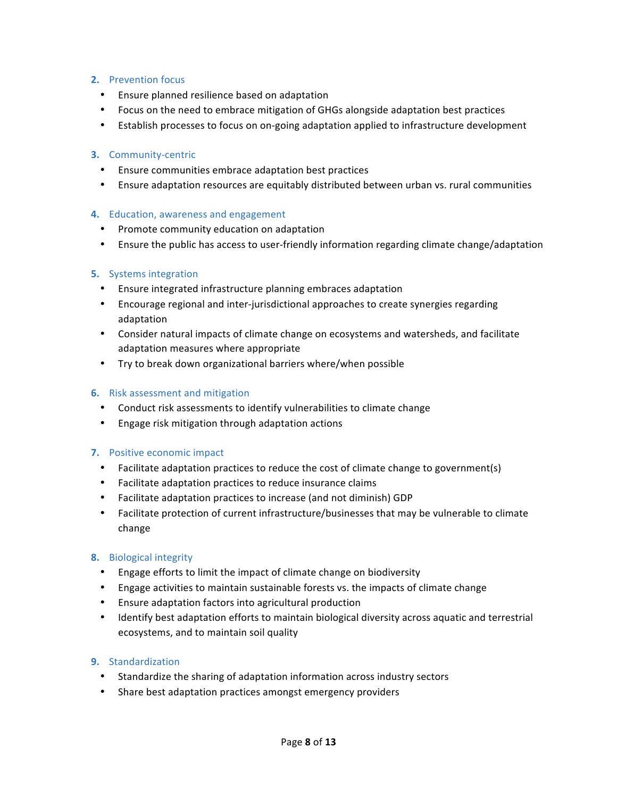# **2.** Prevention focus

- Ensure planned resilience based on adaptation
- Focus on the need to embrace mitigation of GHGs alongside adaptation best practices
- Establish processes to focus on on-going adaptation applied to infrastructure development

## **3.** Community-centric

- Ensure communities embrace adaptation best practices
- Ensure adaptation resources are equitably distributed between urban vs. rural communities

# **4.** Education, awareness and engagement

- Promote community education on adaptation
- Ensure the public has access to user-friendly information regarding climate change/adaptation

# **5.** Systems integration

- Ensure integrated infrastructure planning embraces adaptation
- Encourage regional and inter-jurisdictional approaches to create synergies regarding adaptation
- Consider natural impacts of climate change on ecosystems and watersheds, and facilitate adaptation measures where appropriate
- Try to break down organizational barriers where/when possible

## **6.** Risk assessment and mitigation

- Conduct risk assessments to identify vulnerabilities to climate change
- Engage risk mitigation through adaptation actions

### **7.** Positive economic impact

- Facilitate adaptation practices to reduce the cost of climate change to government(s)
- Facilitate adaptation practices to reduce insurance claims
- Facilitate adaptation practices to increase (and not diminish) GDP
- Facilitate protection of current infrastructure/businesses that may be vulnerable to climate change

### **8.** Biological integrity

- Engage efforts to limit the impact of climate change on biodiversity
- Engage activities to maintain sustainable forests vs. the impacts of climate change
- Ensure adaptation factors into agricultural production
- Identify best adaptation efforts to maintain biological diversity across aquatic and terrestrial ecosystems, and to maintain soil quality

# **9.** Standardization

- Standardize the sharing of adaptation information across industry sectors
- Share best adaptation practices amongst emergency providers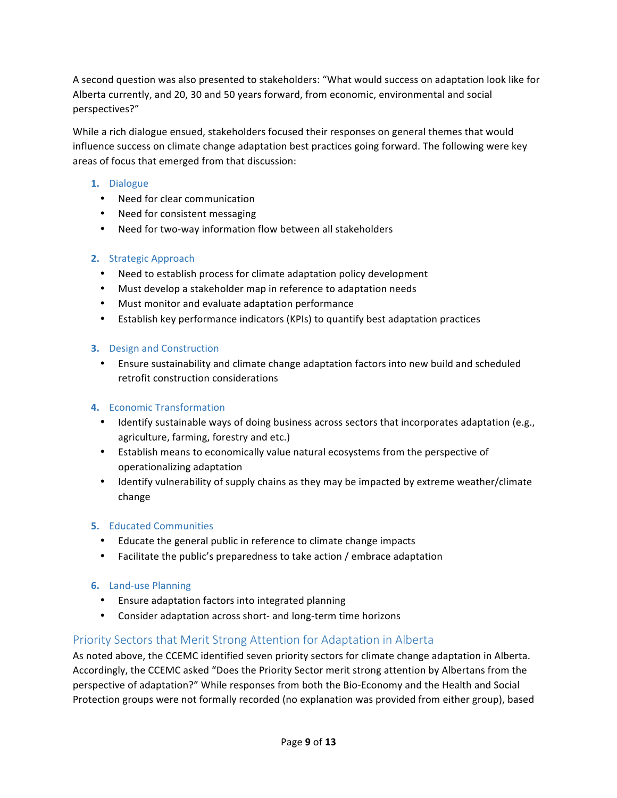A second question was also presented to stakeholders: "What would success on adaptation look like for Alberta currently, and 20, 30 and 50 years forward, from economic, environmental and social perspectives?"

While a rich dialogue ensued, stakeholders focused their responses on general themes that would influence success on climate change adaptation best practices going forward. The following were key areas of focus that emerged from that discussion:

# **1.** Dialogue

- Need for clear communication
- Need for consistent messaging
- Need for two-way information flow between all stakeholders

# **2.** Strategic Approach

- Need to establish process for climate adaptation policy development
- Must develop a stakeholder map in reference to adaptation needs
- Must monitor and evaluate adaptation performance
- Establish key performance indicators (KPIs) to quantify best adaptation practices

# **3.** Design and Construction

• Ensure sustainability and climate change adaptation factors into new build and scheduled retrofit construction considerations

# **4.** Economic Transformation

- Identify sustainable ways of doing business across sectors that incorporates adaptation (e.g., agriculture, farming, forestry and etc.)
- Establish means to economically value natural ecosystems from the perspective of operationalizing adaptation
- Identify vulnerability of supply chains as they may be impacted by extreme weather/climate change

# **5.** Educated Communities

- Educate the general public in reference to climate change impacts
- Facilitate the public's preparedness to take action / embrace adaptation

# **6.** Land-use Planning

- Ensure adaptation factors into integrated planning
- Consider adaptation across short- and long-term time horizons

# Priority Sectors that Merit Strong Attention for Adaptation in Alberta

As noted above, the CCEMC identified seven priority sectors for climate change adaptation in Alberta. Accordingly, the CCEMC asked "Does the Priority Sector merit strong attention by Albertans from the perspective of adaptation?" While responses from both the Bio-Economy and the Health and Social Protection groups were not formally recorded (no explanation was provided from either group), based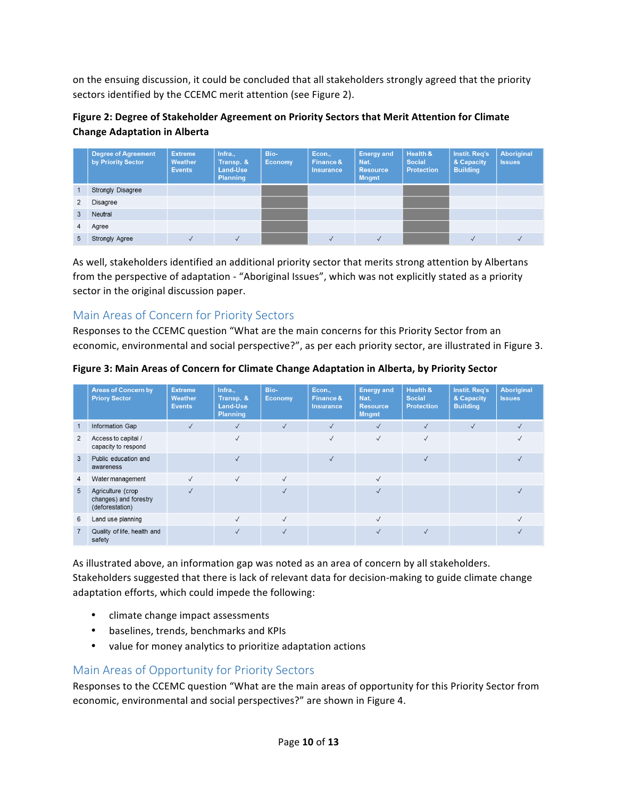on the ensuing discussion, it could be concluded that all stakeholders strongly agreed that the priority sectors identified by the CCEMC merit attention (see Figure 2).

# Figure 2: Degree of Stakeholder Agreement on Priority Sectors that Merit Attention for Climate **Change Adaptation in Alberta**

|   | <b>Degree of Agreement</b><br>by Priority Sector | <b>Extreme</b><br>Weather<br><b>Events</b> | Infra.,<br>Transp. &<br>Land-Use<br><b>Planning</b> | Bio-<br><b>Economy</b> | Econ.,<br>Finance &<br><b>Insurance</b> | <b>Energy and</b><br>Nat.<br><b>Resource</b><br><b>Mngmt</b> | Health &<br><b>Social</b><br><b>Protection</b> | Instit. Req's<br>& Capacity<br><b>Building</b> | <b>Aboriginal</b><br><b>Issues</b> |
|---|--------------------------------------------------|--------------------------------------------|-----------------------------------------------------|------------------------|-----------------------------------------|--------------------------------------------------------------|------------------------------------------------|------------------------------------------------|------------------------------------|
|   | <b>Strongly Disagree</b>                         |                                            |                                                     |                        |                                         |                                                              |                                                |                                                |                                    |
|   | Disagree                                         |                                            |                                                     |                        |                                         |                                                              |                                                |                                                |                                    |
| 3 | Neutral                                          |                                            |                                                     |                        |                                         |                                                              |                                                |                                                |                                    |
| 4 | Agree                                            |                                            |                                                     |                        |                                         |                                                              |                                                |                                                |                                    |
| 5 | Strongly Agree                                   |                                            |                                                     |                        |                                         |                                                              |                                                |                                                |                                    |

As well, stakeholders identified an additional priority sector that merits strong attention by Albertans from the perspective of adaptation - "Aboriginal Issues", which was not explicitly stated as a priority sector in the original discussion paper.

# Main Areas of Concern for Priority Sectors

Responses to the CCEMC question "What are the main concerns for this Priority Sector from an economic, environmental and social perspective?", as per each priority sector, are illustrated in Figure 3.

|                | <b>Areas of Concern by</b><br><b>Priory Sector</b>            | <b>Extreme</b><br>Weather<br><b>Events</b> | Infra.,<br>Transp. &<br>Land-Use<br><b>Planning</b> | Bio-<br><b>Economy</b> | Econ.,<br>Finance &<br><b>Insurance</b> | <b>Energy and</b><br>Nat.<br><b>Resource</b><br><b>Mngmt</b> | <b>Health &amp;</b><br><b>Social</b><br><b>Protection</b> | Instit. Req's<br>& Capacity<br><b>Building</b> | <b>Aboriginal</b><br><b>Issues</b> |
|----------------|---------------------------------------------------------------|--------------------------------------------|-----------------------------------------------------|------------------------|-----------------------------------------|--------------------------------------------------------------|-----------------------------------------------------------|------------------------------------------------|------------------------------------|
| 1              | Information Gap                                               | $\checkmark$                               | $\checkmark$                                        | $\sqrt{ }$             | $\sqrt{ }$                              | $\sqrt{ }$                                                   | $\checkmark$                                              | $\checkmark$                                   |                                    |
| $\overline{2}$ | Access to capital /<br>capacity to respond                    |                                            | $\checkmark$                                        |                        | $\checkmark$                            | $\sqrt{ }$                                                   | $\checkmark$                                              |                                                |                                    |
| 3              | Public education and<br>awareness                             |                                            | $\checkmark$                                        |                        | $\sqrt{}$                               |                                                              | $\checkmark$                                              |                                                |                                    |
| 4              | Water management                                              | $\checkmark$                               | $\checkmark$                                        | $\checkmark$           |                                         | $\sqrt{ }$                                                   |                                                           |                                                |                                    |
| 5              | Agriculture (crop<br>changes) and forestry<br>(deforestation) | $\sqrt{}$                                  |                                                     | $\sqrt{}$              |                                         | $\checkmark$                                                 |                                                           |                                                |                                    |
| 6              | Land use planning                                             |                                            | $\sqrt{}$                                           | $\checkmark$           |                                         | $\sqrt{ }$                                                   |                                                           |                                                |                                    |
|                | Quality of life, health and<br>safety                         |                                            | $\checkmark$                                        | $\sqrt{ }$             |                                         | $\checkmark$                                                 | $\checkmark$                                              |                                                |                                    |

# Figure 3: Main Areas of Concern for Climate Change Adaptation in Alberta, by Priority Sector

As illustrated above, an information gap was noted as an area of concern by all stakeholders. Stakeholders suggested that there is lack of relevant data for decision-making to guide climate change adaptation efforts, which could impede the following:

- climate change impact assessments
- baselines, trends, benchmarks and KPIs
- value for money analytics to prioritize adaptation actions

# Main Areas of Opportunity for Priority Sectors

Responses to the CCEMC question "What are the main areas of opportunity for this Priority Sector from economic, environmental and social perspectives?" are shown in Figure 4.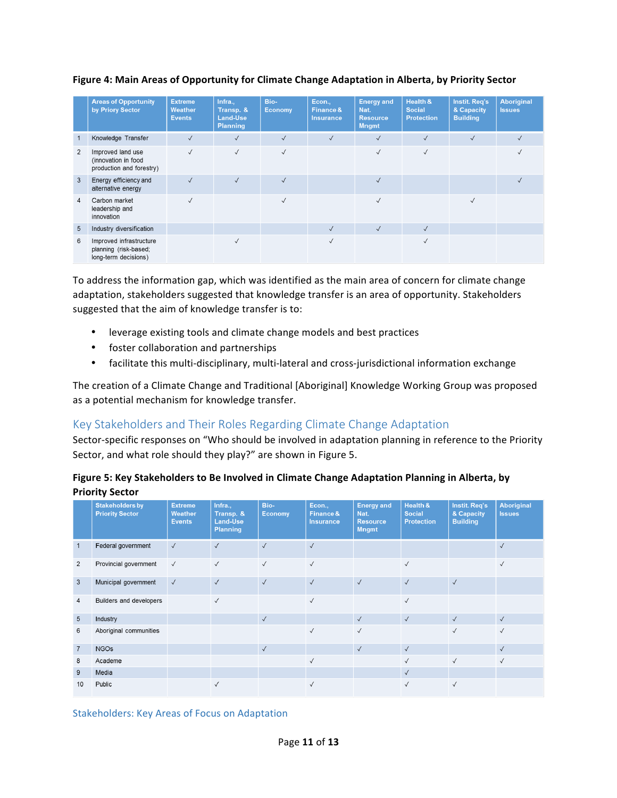|                | <b>Areas of Opportunity</b><br>by Priory Sector                          | <b>Extreme</b><br>Weather<br><b>Events</b> | Infra.,<br>Transp. &<br>Land-Use<br>Planning | Bio-<br><b>Economy</b> | Econ.,<br>Finance &<br><b>Insurance</b> | <b>Energy and</b><br>Nat.<br><b>Resource</b><br><b>Mngmt</b> | Health &<br><b>Social</b><br><b>Protection</b> | Instit. Req's<br>& Capacity<br><b>Building</b> | <b>Aboriginal</b><br><b>Issues</b> |
|----------------|--------------------------------------------------------------------------|--------------------------------------------|----------------------------------------------|------------------------|-----------------------------------------|--------------------------------------------------------------|------------------------------------------------|------------------------------------------------|------------------------------------|
| 1              | Knowledge Transfer                                                       | $\checkmark$                               | $\checkmark$                                 | $\sqrt{}$              | $\checkmark$                            | $\checkmark$                                                 | $\checkmark$                                   | $\checkmark$                                   | $\checkmark$                       |
| $\overline{2}$ | Improved land use<br>(innovation in food<br>production and forestry)     | $\checkmark$                               | $\checkmark$                                 | $\sqrt{ }$             |                                         | $\checkmark$                                                 | $\sqrt{ }$                                     |                                                |                                    |
| 3              | Energy efficiency and<br>alternative energy                              | $\sqrt{ }$                                 | $\sqrt{ }$                                   | $\sqrt{}$              |                                         | $\checkmark$                                                 |                                                |                                                |                                    |
| $\overline{4}$ | Carbon market<br>leadership and<br>innovation                            | $\checkmark$                               |                                              | $\sqrt{2}$             |                                         | $\checkmark$                                                 |                                                | √                                              |                                    |
| 5              | Industry diversification                                                 |                                            |                                              |                        | $\checkmark$                            | $\sqrt{}$                                                    | $\sqrt{ }$                                     |                                                |                                    |
| 6              | Improved infrastructure<br>planning (risk-based;<br>long-term decisions) |                                            |                                              |                        |                                         |                                                              | $\sqrt{ }$                                     |                                                |                                    |

# Figure 4: Main Areas of Opportunity for Climate Change Adaptation in Alberta, by Priority Sector

To address the information gap, which was identified as the main area of concern for climate change adaptation, stakeholders suggested that knowledge transfer is an area of opportunity. Stakeholders suggested that the aim of knowledge transfer is to:

- leverage existing tools and climate change models and best practices
- foster collaboration and partnerships
- facilitate this multi-disciplinary, multi-lateral and cross-jurisdictional information exchange

The creation of a Climate Change and Traditional [Aboriginal] Knowledge Working Group was proposed as a potential mechanism for knowledge transfer.

# Key Stakeholders and Their Roles Regarding Climate Change Adaptation

Sector-specific responses on "Who should be involved in adaptation planning in reference to the Priority Sector, and what role should they play?" are shown in Figure 5.

| Figure 5: Key Stakeholders to Be Involved in Climate Change Adaptation Planning in Alberta, by |
|------------------------------------------------------------------------------------------------|
| <b>Priority Sector</b>                                                                         |

|                 | <b>Stakeholders by</b><br><b>Priority Sector</b> | <b>Extreme</b><br>Weather<br><b>Events</b> | Infra.,<br>Transp. &<br>Land-Use<br><b>Planning</b> | Bio-<br><b>Economy</b> | Econ.,<br>Finance &<br><b>Insurance</b> | <b>Energy and</b><br>Nat.<br><b>Resource</b><br><b>Mngmt</b> | Health &<br><b>Social</b><br><b>Protection</b> | Instit. Req's<br>& Capacity<br><b>Building</b> | <b>Aboriginal</b><br><b>Issues</b> |
|-----------------|--------------------------------------------------|--------------------------------------------|-----------------------------------------------------|------------------------|-----------------------------------------|--------------------------------------------------------------|------------------------------------------------|------------------------------------------------|------------------------------------|
|                 | Federal government                               | $\checkmark$                               | $\checkmark$                                        | $\checkmark$           | $\checkmark$                            |                                                              |                                                |                                                | $\checkmark$                       |
| 2               | Provincial government                            | $\checkmark$                               | $\checkmark$                                        | $\checkmark$           | $\checkmark$                            |                                                              | $\sqrt{}$                                      |                                                | $\checkmark$                       |
| 3               | Municipal government                             | $\checkmark$                               | $\checkmark$                                        | $\checkmark$           | $\checkmark$                            | $\checkmark$                                                 | $\checkmark$                                   | $\checkmark$                                   |                                    |
| 4               | Builders and developers                          |                                            | $\sqrt{ }$                                          |                        | $\sqrt{}$                               |                                                              | $\sqrt{}$                                      |                                                |                                    |
| $5\overline{)}$ | Industry                                         |                                            |                                                     | $\checkmark$           |                                         | $\checkmark$                                                 | $\checkmark$                                   | $\checkmark$                                   | $\checkmark$                       |
| 6               | Aboriginal communities                           |                                            |                                                     |                        | $\checkmark$                            | $\checkmark$                                                 |                                                | $\checkmark$                                   | $\checkmark$                       |
| $\overline{7}$  | <b>NGOs</b>                                      |                                            |                                                     | $\checkmark$           |                                         | $\checkmark$                                                 | $\sqrt{ }$                                     |                                                | $\checkmark$                       |
| 8               | Academe                                          |                                            |                                                     |                        | $\checkmark$                            |                                                              | $\checkmark$                                   | $\checkmark$                                   | $\checkmark$                       |
| 9               | Media                                            |                                            |                                                     |                        |                                         |                                                              | $\sqrt{ }$                                     |                                                |                                    |
| 10              | Public                                           |                                            | $\checkmark$                                        |                        | $\checkmark$                            |                                                              | $\checkmark$                                   | $\checkmark$                                   |                                    |

Stakeholders: Key Areas of Focus on Adaptation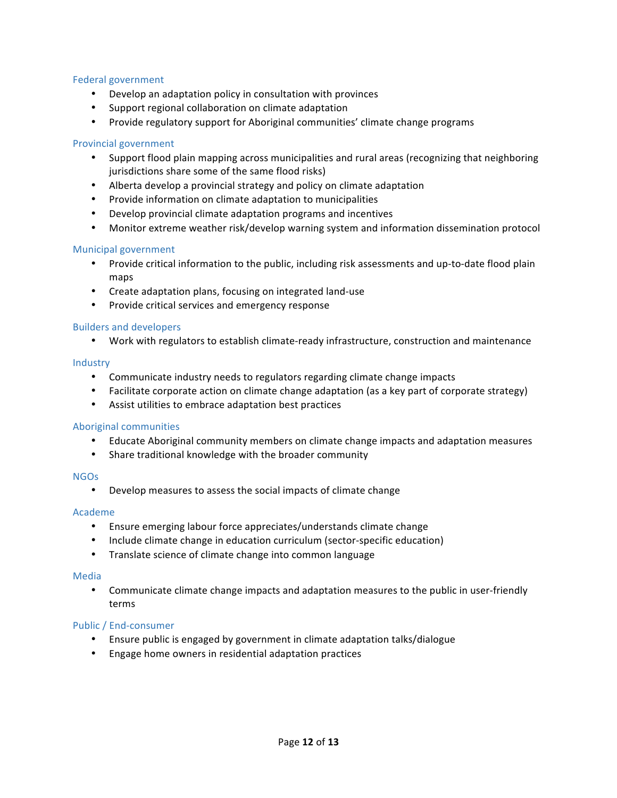### Federal government

- Develop an adaptation policy in consultation with provinces
- Support regional collaboration on climate adaptation
- Provide regulatory support for Aboriginal communities' climate change programs

#### Provincial government

- Support flood plain mapping across municipalities and rural areas (recognizing that neighboring jurisdictions share some of the same flood risks)
- Alberta develop a provincial strategy and policy on climate adaptation
- Provide information on climate adaptation to municipalities
- Develop provincial climate adaptation programs and incentives
- Monitor extreme weather risk/develop warning system and information dissemination protocol

#### Municipal government

- Provide critical information to the public, including risk assessments and up-to-date flood plain maps
- Create adaptation plans, focusing on integrated land-use
- Provide critical services and emergency response

### **Builders and developers**

• Work with regulators to establish climate-ready infrastructure, construction and maintenance

#### Industry

- Communicate industry needs to regulators regarding climate change impacts
- Facilitate corporate action on climate change adaptation (as a key part of corporate strategy)
- Assist utilities to embrace adaptation best practices

### Aboriginal communities

- Educate Aboriginal community members on climate change impacts and adaptation measures
- Share traditional knowledge with the broader community

### NGOs

• Develop measures to assess the social impacts of climate change

#### Academe

- Ensure emerging labour force appreciates/understands climate change
- Include climate change in education curriculum (sector-specific education)
- Translate science of climate change into common language

#### Media

• Communicate climate change impacts and adaptation measures to the public in user-friendly terms

### Public / End-consumer

- Ensure public is engaged by government in climate adaptation talks/dialogue
- Engage home owners in residential adaptation practices